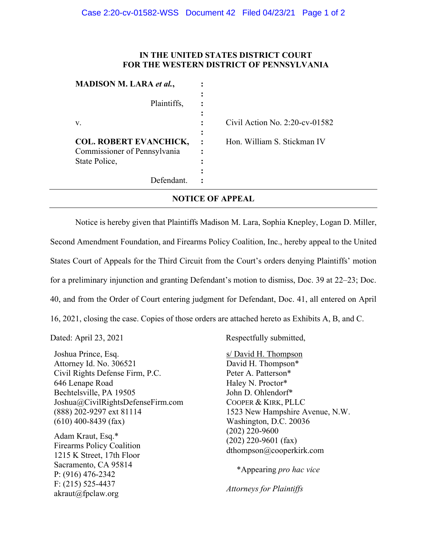## **IN THE UNITED STATES DISTRICT COURT FOR THE WESTERN DISTRICT OF PENNSYLVANIA**

| <b>MADISON M. LARA et al.,</b>                                                 |                                               |
|--------------------------------------------------------------------------------|-----------------------------------------------|
| Plaintiffs,                                                                    |                                               |
| v.                                                                             | Civil Action No. $2:20$ -cv-01582             |
| <b>COL. ROBERT EVANCHICK,</b><br>Commissioner of Pennsylvania<br>State Police, | Hon. William S. Stickman IV<br>$\cdot$ :<br>٠ |
| Defendant                                                                      |                                               |

## **NOTICE OF APPEAL**

Notice is hereby given that Plaintiffs Madison M. Lara, Sophia Knepley, Logan D. Miller, Second Amendment Foundation, and Firearms Policy Coalition, Inc., hereby appeal to the United States Court of Appeals for the Third Circuit from the Court's orders denying Plaintiffs' motion for a preliminary injunction and granting Defendant's motion to dismiss, Doc. 39 at 22–23; Doc. 40, and from the Order of Court entering judgment for Defendant, Doc. 41, all entered on April 16, 2021, closing the case. Copies of those orders are attached hereto as Exhibits A, B, and C.

Joshua Prince, Esq. Attorney Id. No. 306521 Civil Rights Defense Firm, P.C. 646 Lenape Road Bechtelsville, PA 19505 Joshua@CivilRightsDefenseFirm.com (888) 202-9297 ext 81114 (610) 400-8439 (fax)

Adam Kraut, Esq.\* Firearms Policy Coalition 1215 K Street, 17th Floor Sacramento, CA 95814 P: (916) 476-2342 F: (215) 525-4437 akraut@fpclaw.org

Dated: April 23, 2021 Respectfully submitted,

s/ David H. Thompson David H. Thompson\* Peter A. Patterson\* Haley N. Proctor\* John D. Ohlendorf\* COOPER & KIRK, PLLC 1523 New Hampshire Avenue, N.W. Washington, D.C. 20036 (202) 220-9600 (202) 220-9601 (fax) dthompson@cooperkirk.com

\*Appearing *pro hac vice*

*Attorneys for Plaintiffs*